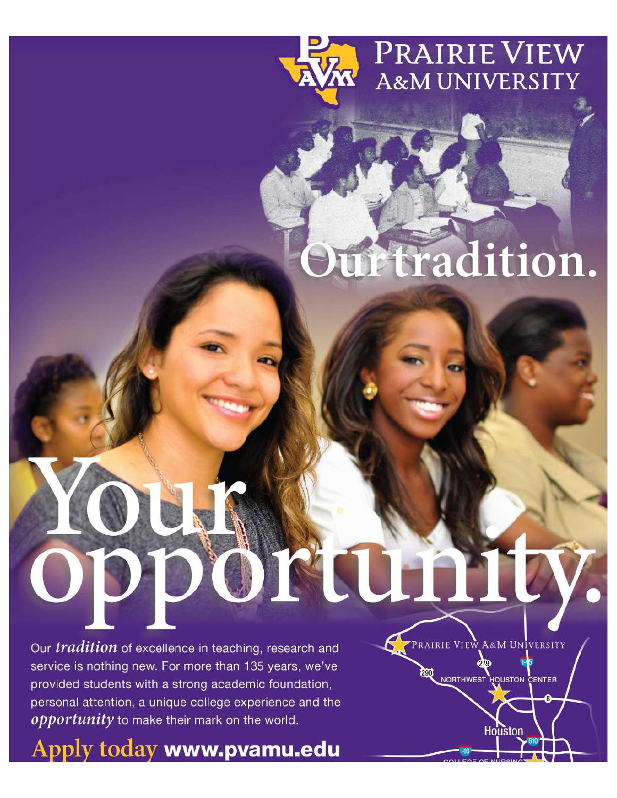

## itradition.

PRAIRIE VIEW A&M UNIVERSITY

NORTHWEST HOUSTON CENTER

Houston

ORULL

Our *tradition* of excellence in teaching, research and service is nothing new. For more than 135 years, we've provided students with a strong academic foundation, personal attention, a unique college experience and the opportunity to make their mark on the world.

Apply today www.pvamu.edu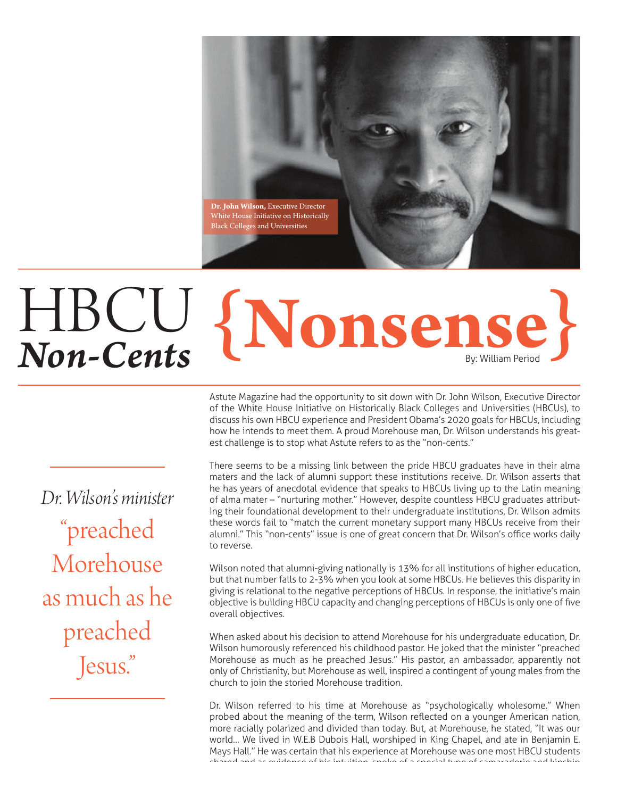

## HBCU  $HBCU$  {Nonsense}

Astute Magazine had the opportunity to sit down with Dr. John Wilson, Executive Director of the White House Initiative on Historically Black Colleges and Universities (HBCUs), to discuss his own HBCU experience and President Obama's 2020 goals for HBCUs, including how he intends to meet them. A proud Morehouse man, Dr. Wilson understands his greatest challenge is to stop what Astute refers to as the "non-cents."

There seems to be a missing link between the pride HBCU graduates have in their alma maters and the lack of alumni support these institutions receive. Dr. Wilson asserts that he has years of anecdotal evidence that speaks to HBCUs living up to the Latin meaning of alma mater - "nurturing mother." However, despite countless HBCU graduates attributing their foundational development to their undergraduate institutions, Dr. Wilson admits these words fail to "match the current monetary support many HBCUs receive from their alumni." This "non-cents" issue is one of great concern that Dr. Wilson's office works daily to reverse.

Wilson noted that alumni-giving nationally is 13% for all institutions of higher education, but that number falls to 2-3% when you look at some HBCUs. He believes this disparity in giving is relational to the negative perceptions of HBCUs. In response, the initiative's main objective is building HBCU capacity and changing perceptions of HBCUs is only one of five overall objectives.

When asked about his decision to attend Morehouse for his undergraduate education, Dr. Wilson humorously referenced his childhood pastor. He joked that the minister "preached Morehouse as much as he preached Jesus." His pastor, an ambassador, apparently not only of Christianity, but Morehouse as well, inspired a contingent of young males from the church to join the storied Morehouse tradition.

Dr. Wilson referred to his time at Morehouse as "psychologically wholesome." When probed about the meaning of the term, Wilson reflected on a younger American nation, more racially polarized and divided than today. But, at Morehouse, he stated, "It was our world... We lived in W.E.B Dubois Hall, worshiped in King Chapel, and ate in Benjamin E. Mays Hall." He was certain that his experience at Morehouse was one most HBCU students RG@QDC@MC@RDUHCDMBDNEGHRHMSTHSHNMRONJDNE@RODBH@KSXODNEB@L@Q@CDQHD@MCJHMRGHO

*Dr. Wilson's minister* "preached Morehouse as much as he preached Jesus."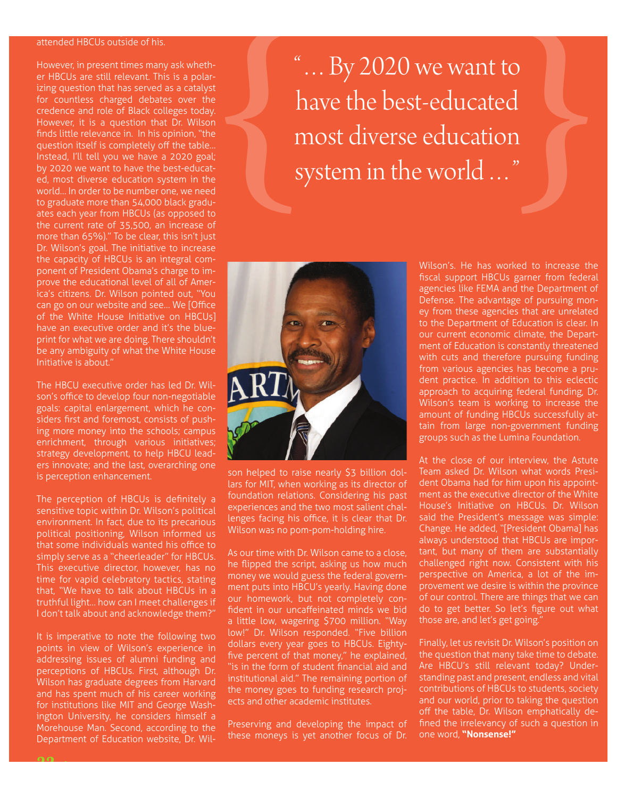## attended HBCUs outside of his.

However, in present times many ask whether HBCUs are still relevant. This is a polarizing question that has served as a catalyst for countless charged debates over the credence and role of Black colleges today. However, it is a question that Dr. Wilson finds little relevance in. In his opinion, "the question itself is completely off the table... Instead, I'll tell you we have a 2020 goal; by 2020 we want to have the best-educated, most diverse education system in the world... In order to be number one, we need to graduate more than 54,000 black graduates each year from HBCUs (as opposed to the current rate of 35,500, an increase of more than 65%)." To be clear, this isn't just Dr. Wilson's goal. The initiative to increase the capacity of HBCUs is an integral component of President Obama's charge to improve the educational level of all of America's citizens. Dr. Wilson pointed out, "You can go on our website and see... We [Office of the White House Initiative on HBCUs] have an executive order and it's the blueprint for what we are doing. There shouldn't be any ambiguity of what the White House Initiative is about.'

The HBCU executive order has led Dr. Wilson's office to develop four non-negotiable goals: capital enlargement, which he considers first and foremost, consists of pushing more money into the schools; campus enrichment, through various initiatives; strategy development, to help HBCU leaders innovate; and the last, overarching one is perception enhancement.

The perception of HBCUs is definitely a sensitive topic within Dr. Wilson's political environment. In fact, due to its precarious political positioning, Wilson informed us that some individuals wanted his office to simply serve as a "cheerleader" for HBCUs. This executive director, however, has no time for vapid celebratory tactics, stating that, "We have to talk about HBCUs in a truthful light... how can I meet challenges if I don't talk about and acknowledge them?"

It is imperative to note the following two points in view of Wilson's experience in addressing issues of alumni funding and perceptions of HBCUs. First, although Dr. Wilson has graduate degrees from Harvard and has spent much of his career working for institutions like MIT and George Washington University, he considers himself a Morehouse Man. Second, according to the Department of Education website, Dr. Wil"...By 2020 we want to have the best-educated most diverse education system in the world ..."

son helped to raise nearly \$3 billion dollars for MIT, when working as its director of foundation relations. Considering his past experiences and the two most salient challenges facing his office, it is clear that Dr. Wilson was no pom-pom-holding hire.

As our time with Dr. Wilson came to a close, he flipped the script, asking us how much money we would guess the federal government puts into HBCU's yearly. Having done our homework, but not completely confident in our uncaffeinated minds we bid a little low, wagering \$700 million. "Way low!" Dr. Wilson responded. "Five billion dollars every year goes to HBCUs. Eightyfive percent of that money," he explained, "is in the form of student financial aid and institutional aid." The remaining portion of the money goes to funding research projects and other academic institutes.

Preserving and developing the impact of these moneys is yet another focus of Dr. Wilson's. He has worked to increase the fiscal support HBCUs garner from federal agencies like FEMA and the Department of Defense. The advantage of pursuing money from these agencies that are unrelated to the Department of Education is clear. In our current economic climate, the Department of Education is constantly threatened with cuts and therefore pursuing funding from various agencies has become a prudent practice. In addition to this eclectic approach to acquiring federal funding, Dr. Wilson's team is working to increase the amount of funding HBCUs successfully attain from large non-government funding groups such as the Lumina Foundation.

At the close of our interview, the Astute Team asked Dr. Wilson what words President Obama had for him upon his appointment as the executive director of the White House's Initiative on HBCUs. Dr. Wilson said the President's message was simple: Change. He added, "[President Obama] has always understood that HBCUs are imporchallenged right now. Consistent with his perspective on America, a lot of the improvement we desire is within the province of our control. There are things that we can do to get better. So let's figure out what those are, and let's get going.'

Finally, let us revisit Dr. Wilson's position on the question that many take time to debate. Are HBCU's still relevant today? Understanding past and present, endless and vital contributions of HBCUs to students, society and our world, prior to taking the question off the table, Dr. Wilson emphatically defined the irrelevancy of such a question in one word, "Nonsense!"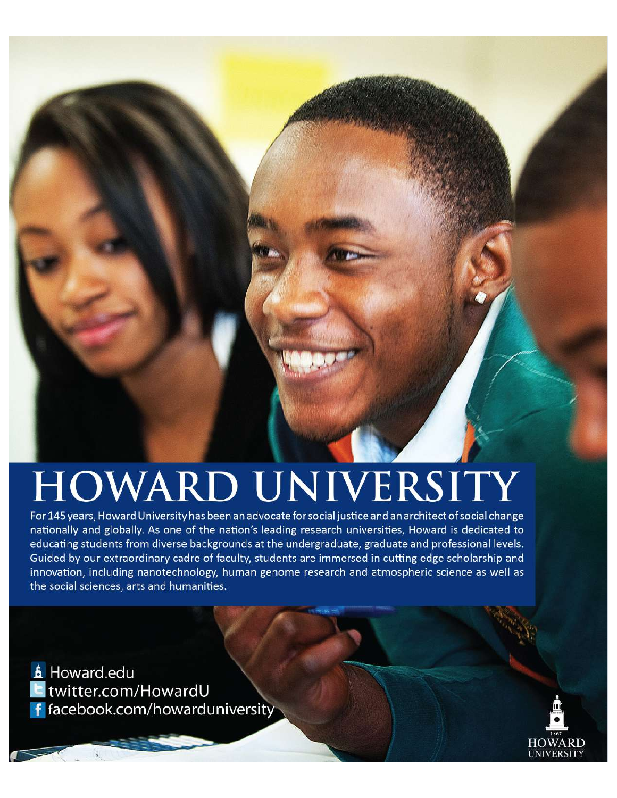## HOWARD UNIVERSITY

For 145 years, Howard University has been an advocate for social justice and an architect of social change nationally and globally. As one of the nation's leading research universities, Howard is dedicated to educating students from diverse backgrounds at the undergraduate, graduate and professional levels. Guided by our extraordinary cadre of faculty, students are immersed in cutting edge scholarship and innovation, including nanotechnology, human genome research and atmospheric science as well as the social sciences, arts and humanities.

**A** Howard.edu twitter.com/HowardU f facebook.com/howarduniversity